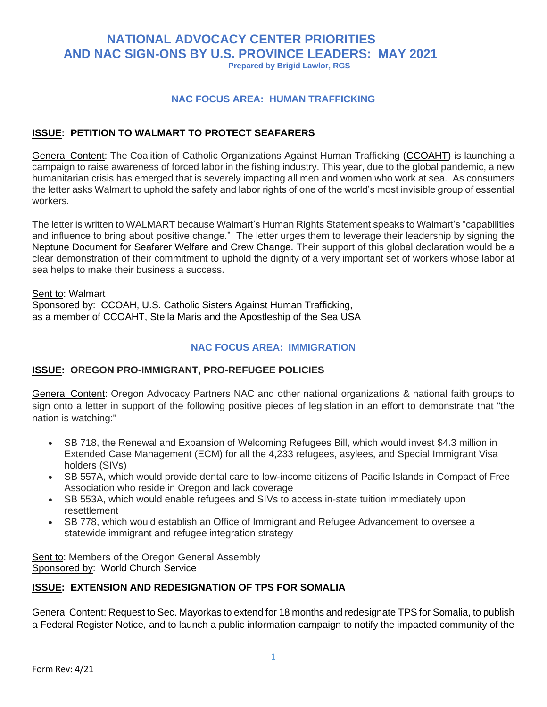# **NATIONAL ADVOCACY CENTER PRIORITIES AND NAC SIGN-ONS BY U.S. PROVINCE LEADERS: MAY 2021**

**Prepared by Brigid Lawlor, RGS**

#### **NAC FOCUS AREA: HUMAN TRAFFICKING**

#### **ISSUE: PETITION TO WALMART TO PROTECT SEAFARERS**

General Content: The Coalition of Catholic Organizations Against Human Trafficking [\(CCOAHT\)](https://files.constantcontact.com/0f43daa8501/eb27df6a-4f0b-4600-bf57-4cb48925466d.pdf) is launching a campaign to raise awareness of forced labor in the fishing industry. This year, due to the global pandemic, a new humanitarian crisis has emerged that is severely impacting all men and women who work at sea. As consumers the letter asks Walmart to uphold the safety and labor rights of one of the world's most invisible group of essential workers.

The letter is written to WALMART because Walmart's Human Rights Statement speaks to Walmart's "capabilities and influence to bring about positive change." The letter urges them to leverage their leadership by signing [the](https://globalmaritimeforum.org/content/2020/12/The-Neptune-Declaration-on-Seafarer-Wellbeing-and-Crew-Change.pdf)  [Neptune Document for Seafarer Welfare and Crew Change.](https://globalmaritimeforum.org/content/2020/12/The-Neptune-Declaration-on-Seafarer-Wellbeing-and-Crew-Change.pdf) Their support of this global declaration would be a clear demonstration of their commitment to uphold the dignity of a very important set of workers whose labor at sea helps to make their business a success.

Sent to: Walmart Sponsored by: CCOAH, U.S. Catholic Sisters Against Human Trafficking, as a member of CCOAHT, Stella Maris and the Apostleship of the Sea USA

#### **NAC FOCUS AREA: IMMIGRATION**

#### **ISSUE: OREGON PRO-IMMIGRANT, PRO-REFUGEE POLICIES**

General Content: Oregon Advocacy Partners NAC and other national organizations & national faith groups to sign onto a letter in support of the following positive pieces of legislation in an effort to demonstrate that "the nation is watching:"

- SB 718, the Renewal and Expansion of Welcoming Refugees Bill, which would invest \$4.3 million in Extended Case Management (ECM) for all the 4,233 refugees, asylees, and Special Immigrant Visa holders (SIVs)
- SB 557A, which would provide dental care to low-income citizens of Pacific Islands in Compact of Free Association who reside in Oregon and lack coverage
- SB 553A, which would enable refugees and SIVs to access in-state tuition immediately upon resettlement
- SB 778, which would establish an Office of Immigrant and Refugee Advancement to oversee a statewide immigrant and refugee integration strategy

Sent to: Members of the Oregon General Assembly Sponsored by: World Church Service

#### **ISSUE: EXTENSION AND REDESIGNATION OF TPS FOR SOMALIA**

General Content: Request to Sec. Mayorkas to extend for 18 months and redesignate TPS for Somalia, to publish a Federal Register Notice, and to launch a public information campaign to notify the impacted community of the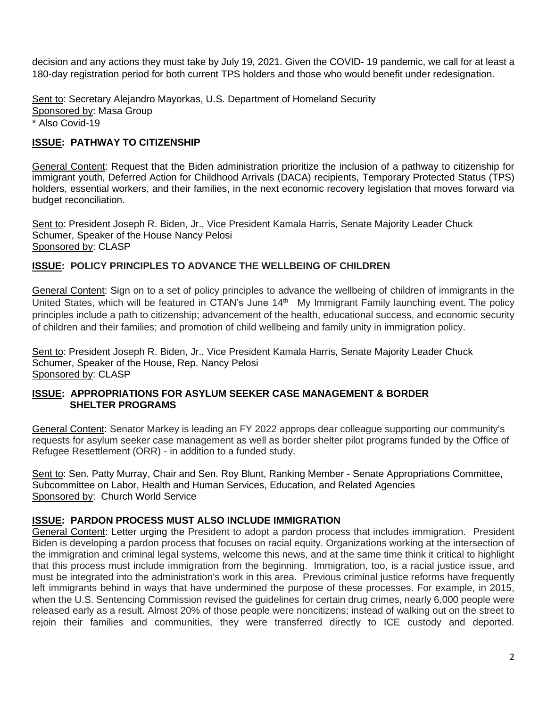decision and any actions they must take by July 19, 2021. Given the COVID- 19 pandemic, we call for at least a 180-day registration period for both current TPS holders and those who would benefit under redesignation.

Sent to: Secretary Alejandro Mayorkas, U.S. Department of Homeland Security Sponsored by: Masa Group \* Also Covid-19

## **ISSUE: PATHWAY TO CITIZENSHIP**

General Content: Request that the Biden administration prioritize the inclusion of a pathway to citizenship for immigrant youth, Deferred Action for Childhood Arrivals (DACA) recipients, Temporary Protected Status (TPS) holders, essential workers, and their families, in the next economic recovery legislation that moves forward via budget reconciliation.

Sent to: President Joseph R. Biden, Jr., Vice President Kamala Harris, Senate Majority Leader Chuck Schumer, Speaker of the House Nancy Pelosi Sponsored by: CLASP

## **ISSUE: POLICY PRINCIPLES TO ADVANCE THE WELLBEING OF CHILDREN**

General Content: Sign on to a set of policy principles to advance the wellbeing of children of immigrants in the United States, which will be featured in CTAN's June 14<sup>th</sup> My Immigrant Family launching event. The policy principles include a path to citizenship; advancement of the health, educational success, and economic security of children and their families; and promotion of child wellbeing and family unity in immigration policy.

Sent to: President Joseph R. Biden, Jr., Vice President Kamala Harris, Senate Majority Leader Chuck Schumer, Speaker of the House, Rep. Nancy Pelosi Sponsored by: CLASP

#### **ISSUE: APPROPRIATIONS FOR ASYLUM SEEKER CASE MANAGEMENT & BORDER SHELTER PROGRAMS**

General Content: Senator Markey is leading an FY 2022 approps dear colleague supporting our community's requests for asylum seeker case management as well as border shelter pilot programs funded by the Office of Refugee Resettlement (ORR) - in addition to a funded study.

Sent to: Sen. Patty Murray, Chair and Sen. Roy Blunt, Ranking Member - Senate Appropriations Committee, Subcommittee on Labor, Health and Human Services, Education, and Related Agencies Sponsored by: Church World Service

## **ISSUE: PARDON PROCESS MUST ALSO INCLUDE IMMIGRATION**

General Content: Letter urging the President to adopt a pardon process that includes immigration. President Biden is developing a pardon process that focuses on racial equity. Organizations working at the intersection of the immigration and criminal legal systems, welcome this news, and at the same time think it critical to highlight that this process must include immigration from the beginning. Immigration, too, is a racial justice issue, and must be integrated into the administration's work in this area. Previous criminal justice reforms have frequently left immigrants behind in ways that have undermined the purpose of these processes. For example, in 2015, when the U.S. Sentencing Commission revised the guidelines for certain drug crimes, nearly 6,000 people were released early as a result. Almost 20% of those people were noncitizens; instead of walking out on the street to rejoin their families and communities, they were transferred directly to ICE custody and deported.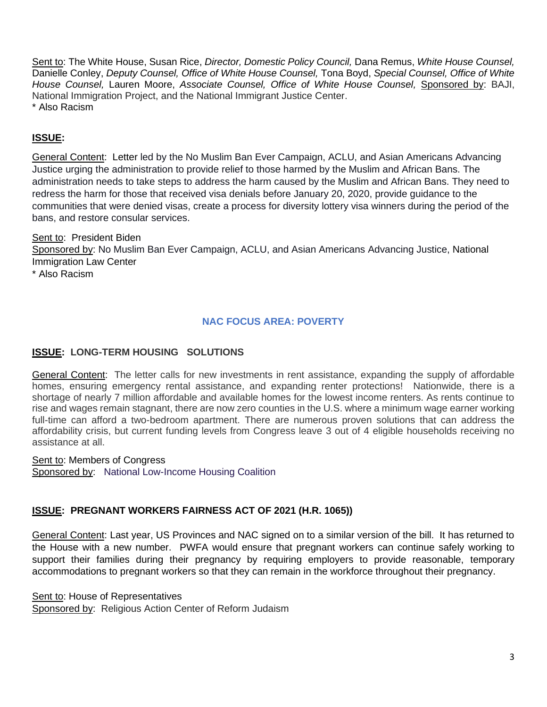Sent to: The White House, Susan Rice, *Director, Domestic Policy Council,* Dana Remus, *White House Counsel,*  Danielle Conley, *Deputy Counsel, Office of White House Counsel,* Tona Boyd, *Special Counsel, Office of White House Counsel,* Lauren Moore, *Associate Counsel, Office of White House Counsel,* Sponsored by: BAJI, National Immigration Project, and the National Immigrant Justice Center. \* Also Racism

## **ISSUE:**

General Content: Letter led by the No Muslim Ban Ever Campaign, ACLU, and Asian Americans Advancing Justice urging the administration to provide relief to those harmed by the Muslim and African Bans. The administration needs to take steps to address the harm caused by the Muslim and African Bans. They need to redress the harm for those that received visa denials before January 20, 2020, provide guidance to the communities that were denied visas, create a process for diversity lottery visa winners during the period of the bans, and restore consular services.

Sent to: President Biden Sponsored by: No Muslim Ban Ever Campaign, ACLU, and Asian Americans Advancing Justice, National Immigration Law Center \* Also Racism

## **NAC FOCUS AREA: POVERTY**

## **ISSUE: LONG-TERM HOUSING SOLUTIONS**

General Content: The letter calls for new investments in rent assistance, expanding the supply of affordable homes, ensuring emergency rental assistance, and expanding renter protections! Nationwide, there is a shortage of nearly 7 million affordable and available homes for the lowest income renters. As rents continue to rise and wages remain stagnant, there are now zero counties in the U.S. where a minimum wage earner working full-time can afford a two-bedroom apartment. There are numerous proven solutions that can address the affordability crisis, but current funding levels from Congress leave 3 out of 4 eligible households receiving no assistance at all.

Sent to: Members of Congress Sponsored by: National Low-Income Housing Coalition

## **ISSUE: PREGNANT WORKERS FAIRNESS ACT OF 2021 (H.R. 1065))**

General Content: Last year, US Provinces and NAC signed on to a similar version of the bill. It has returned to the House with a new number. PWFA would ensure that pregnant workers can continue safely working to support their families during their pregnancy by requiring employers to provide reasonable, temporary accommodations to pregnant workers so that they can remain in the workforce throughout their pregnancy.

Sent to: House of Representatives Sponsored by: Religious Action Center of Reform Judaism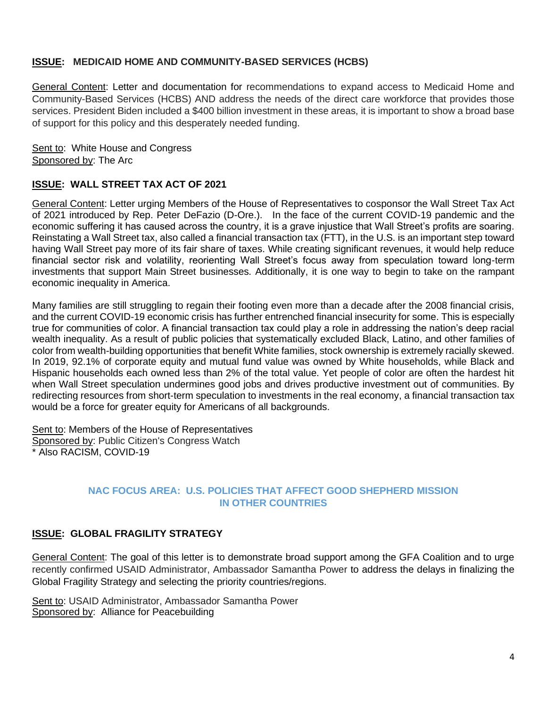### **ISSUE: MEDICAID HOME AND COMMUNITY-BASED SERVICES (HCBS)**

General Content: Letter and documentation for recommendations to expand access to Medicaid Home and Community-Based Services (HCBS) AND address the needs of the direct care workforce that provides those services. President Biden included a \$400 billion investment in these areas, it is important to show a broad base of support for this policy and this desperately needed funding.

Sent to: White House and Congress Sponsored by: The Arc

### **ISSUE: WALL STREET TAX ACT OF 2021**

General Content: Letter urging Members of the House of Representatives to cosponsor the Wall Street Tax Act of 2021 introduced by Rep. Peter DeFazio (D-Ore.). In the face of the current COVID-19 pandemic and the economic suffering it has caused across the country, it is a grave injustice that Wall Street's profits are soaring. Reinstating a Wall Street tax, also called a financial transaction tax (FTT), in the U.S. is an important step toward having Wall Street pay more of its fair share of taxes. While creating significant revenues, it would help reduce financial sector risk and volatility, reorienting Wall Street's focus away from speculation toward long-term investments that support Main Street businesses. Additionally, it is one way to begin to take on the rampant economic inequality in America.

Many families are still struggling to regain their footing even more than a decade after the 2008 financial crisis, and the current COVID-19 economic crisis has further entrenched financial insecurity for some. This is especially true for communities of color. A financial transaction tax could play a role in addressing the nation's deep racial wealth inequality. As a result of public policies that systematically excluded Black, Latino, and other families of color from wealth-building opportunities that benefit White families, stock ownership is extremely racially skewed. In 2019, 92.1% of corporate equity and mutual fund value was owned by White households, while Black and Hispanic households each owned less than 2% of the total value. Yet people of color are often the hardest hit when Wall Street speculation undermines good jobs and drives productive investment out of communities. By redirecting resources from short-term speculation to investments in the real economy, a financial transaction tax would be a force for greater equity for Americans of all backgrounds.

Sent to: Members of the House of Representatives Sponsored by: Public Citizen's Congress Watch \* Also RACISM, COVID-19

### **NAC FOCUS AREA: U.S. POLICIES THAT AFFECT GOOD SHEPHERD MISSION IN OTHER COUNTRIES**

## **ISSUE: GLOBAL FRAGILITY STRATEGY**

General Content: The goal of this letter is to demonstrate broad support among the GFA Coalition and to urge recently confirmed USAID Administrator, Ambassador Samantha Power to address the delays in finalizing the Global Fragility Strategy and selecting the priority countries/regions.

Sent to: USAID Administrator, Ambassador Samantha Power Sponsored by: Alliance for Peacebuilding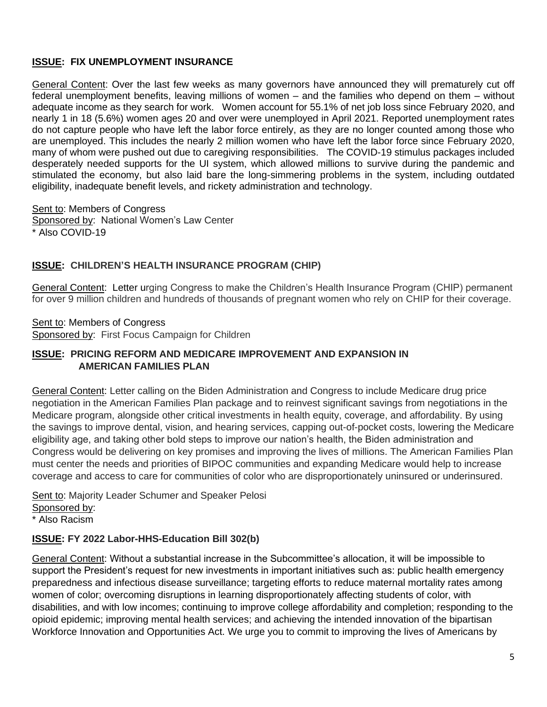## **ISSUE: FIX UNEMPLOYMENT INSURANCE**

General Content: Over the last few weeks as many governors have announced they will prematurely cut off federal unemployment benefits, leaving millions of women – and the families who depend on them – without adequate income as they search for work. Women account for 55.1% of net job loss since February 2020, and nearly 1 in 18 (5.6%) women ages 20 and over were unemployed in April 2021. Reported unemployment rates do not capture people who have left the labor force entirely, as they are no longer counted among those who are unemployed. This includes the nearly 2 million women who have left the labor force since February 2020, many of whom were pushed out due to caregiving responsibilities. The COVID-19 stimulus packages included desperately needed supports for the UI system, which allowed millions to survive during the pandemic and stimulated the economy, but also laid bare the long-simmering problems in the system, including outdated eligibility, inadequate benefit levels, and rickety administration and technology.

Sent to: Members of Congress Sponsored by: National Women's Law Center \* Also COVID-19

## **ISSUE: CHILDREN'S HEALTH INSURANCE PROGRAM (CHIP)**

General Content: Letter urging Congress to make the Children's Health Insurance Program (CHIP) permanent for over 9 million children and hundreds of thousands of pregnant women who rely on CHIP for their coverage.

Sent to: Members of Congress Sponsored by: First Focus Campaign for Children

#### **ISSUE: PRICING REFORM AND MEDICARE IMPROVEMENT AND EXPANSION IN AMERICAN FAMILIES PLAN**

General Content: Letter calling on the Biden Administration and Congress to include Medicare drug price negotiation in the American Families Plan package and to reinvest significant savings from negotiations in the Medicare program, alongside other critical investments in health equity, coverage, and affordability. By using the savings to improve dental, vision, and hearing services, capping out-of-pocket costs, lowering the Medicare eligibility age, and taking other bold steps to improve our nation's health, the Biden administration and Congress would be delivering on key promises and improving the lives of millions. The American Families Plan must center the needs and priorities of BIPOC communities and expanding Medicare would help to increase coverage and access to care for communities of color who are disproportionately uninsured or underinsured.

Sent to: Majority Leader Schumer and Speaker Pelosi Sponsored by:

\* Also Racism

## **ISSUE: FY 2022 Labor-HHS-Education Bill 302(b)**

General Content: Without a substantial increase in the Subcommittee's allocation, it will be impossible to support the President's request for new investments in important initiatives such as: public health emergency preparedness and infectious disease surveillance; targeting efforts to reduce maternal mortality rates among women of color; overcoming disruptions in learning disproportionately affecting students of color, with disabilities, and with low incomes; continuing to improve college affordability and completion; responding to the opioid epidemic; improving mental health services; and achieving the intended innovation of the bipartisan Workforce Innovation and Opportunities Act. We urge you to commit to improving the lives of Americans by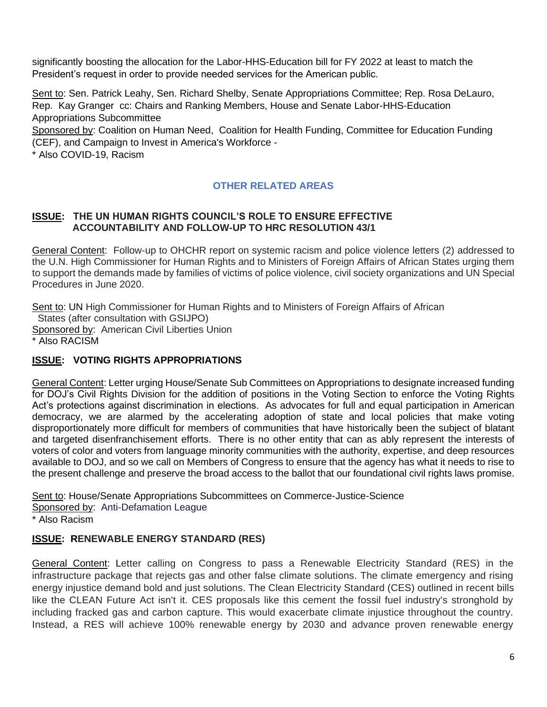significantly boosting the allocation for the Labor-HHS-Education bill for FY 2022 at least to match the President's request in order to provide needed services for the American public.

Sent to: Sen. Patrick Leahy, Sen. Richard Shelby, Senate Appropriations Committee; Rep. Rosa DeLauro, Rep. Kay Granger cc: Chairs and Ranking Members, House and Senate Labor-HHS-Education Appropriations Subcommittee

Sponsored by: Coalition on Human Need, [Coalition for Health Funding,](https://u21316739.ct.sendgrid.net/ls/click?upn=n0h1zRv9K2FqtVgYytK3TdVOQ-2F-2BPLVN6IWxtTfSnvoJ-2BtG5jrZaiuG-2B3yhRILcvlutxJ_Nl9xgBVJ39OEQwulyXZJ1-2BnrHERZBjtcaz18t7-2B3CtDIfcHGaC3hZJ-2BhxFpgWw1oQyBbGUIYpg48y53EbW248RhA-2B0sPmAuRiqlaCcf3Ylorwv-2BVczKufLClntjdY71pkVD6eUQiq-2BkmeNEEuWC61RGFFpjRyw-2FKRdqUU1AOmZPhPYEKDHZ-2B5yx6Xnono1s4tKWgX30tEUJ6jLuv2uXOauR2kvbkrXUtrIkdwR4g8QA-3D) [Committee for Education Funding](https://u21316739.ct.sendgrid.net/ls/click?upn=n0h1zRv9K2FqtVgYytK3TUzK7x1kgSOzKsa2jMG-2BiLs-3DgrIA_Nl9xgBVJ39OEQwulyXZJ1-2BnrHERZBjtcaz18t7-2B3CtDIfcHGaC3hZJ-2BhxFpgWw1oQyBbGUIYpg48y53EbW248U8T-2Bfiq9q-2FE-2F0Hx5I3fOntbZplcm-2BzW854z9McELUrGpT08-2Bu1NrTB0v6uHqAiQ2uHuxVVFDm-2B-2Bz051InHD9UOPJBFpXYQ39KIHhZDImvN6q80qWZiTg1ARCUhfTJYXapplVZy5996M5HSZBjbRAJA-3D)  [\(CEF\),](https://u21316739.ct.sendgrid.net/ls/click?upn=n0h1zRv9K2FqtVgYytK3TUzK7x1kgSOzKsa2jMG-2BiLs-3DgrIA_Nl9xgBVJ39OEQwulyXZJ1-2BnrHERZBjtcaz18t7-2B3CtDIfcHGaC3hZJ-2BhxFpgWw1oQyBbGUIYpg48y53EbW248U8T-2Bfiq9q-2FE-2F0Hx5I3fOntbZplcm-2BzW854z9McELUrGpT08-2Bu1NrTB0v6uHqAiQ2uHuxVVFDm-2B-2Bz051InHD9UOPJBFpXYQ39KIHhZDImvN6q80qWZiTg1ARCUhfTJYXapplVZy5996M5HSZBjbRAJA-3D) and [Campaign to Invest in America's Workforce](https://u21316739.ct.sendgrid.net/ls/click?upn=n0h1zRv9K2FqtVgYytK3TTmklSFV29xnw4Zd0WoMMe0jZlPYkeQE2-2BDTIB6o6eHs0R3t_Nl9xgBVJ39OEQwulyXZJ1-2BnrHERZBjtcaz18t7-2B3CtDIfcHGaC3hZJ-2BhxFpgWw1oQyBbGUIYpg48y53EbW248UWAKy6MsMPiwG-2BukHtw-2B6PhfORYAFEINCCU97VOGPDbKFzA85cezEvXdDTbB6JTCqHJ2vuzjxWEQBS8NLm-2FNbKgp-2FcW0aeEklx8nOaNwDSFw-2FB4PCILZinj-2BIzi1VBM2iXMfjqzCIWBRTY4wWn-2BJfk-3D) -

\* Also COVID-19, Racism

# **OTHER RELATED AREAS**

#### **ISSUE: THE UN HUMAN RIGHTS COUNCIL'S ROLE TO ENSURE EFFECTIVE ACCOUNTABILITY AND FOLLOW-UP TO HRC RESOLUTION 43/1**

General Content: Follow-up to OHCHR report on systemic racism and police violence letters (2) addressed to the U.N. High Commissioner for Human Rights and to Ministers of Foreign Affairs of African States urging them to support the demands made by families of victims of police violence, civil society organizations and UN Special Procedures in June 2020.

Sent to: UN High Commissioner for Human Rights and to Ministers of Foreign Affairs of African States (after consultation with GSIJPO) Sponsored by: American Civil Liberties Union \* Also RACISM

## **ISSUE: VOTING RIGHTS APPROPRIATIONS**

General Content: Letter urging House/Senate Sub Committees on Appropriations to designate increased funding for DOJ's Civil Rights Division for the addition of positions in the Voting Section to enforce the Voting Rights Act's protections against discrimination in elections. As advocates for full and equal participation in American democracy, we are alarmed by the accelerating adoption of state and local policies that make voting disproportionately more difficult for members of communities that have historically been the subject of blatant and targeted disenfranchisement efforts. There is no other entity that can as ably represent the interests of voters of color and voters from language minority communities with the authority, expertise, and deep resources available to DOJ, and so we call on Members of Congress to ensure that the agency has what it needs to rise to the present challenge and preserve the broad access to the ballot that our foundational civil rights laws promise.

Sent to: House/Senate Appropriations Subcommittees on Commerce-Justice-Science Sponsored by: Anti-Defamation League \* Also Racism

## **ISSUE: RENEWABLE ENERGY STANDARD (RES)**

General Content: Letter calling on Congress to pass a Renewable Electricity Standard (RES) in the infrastructure package that rejects gas and other false climate solutions. The climate emergency and rising energy injustice demand bold and just solutions. The Clean Electricity Standard (CES) outlined in recent bills like the CLEAN Future Act isn't it. CES proposals like this cement the fossil fuel industry's stronghold by including fracked gas and carbon capture. This would exacerbate climate injustice throughout the country. Instead, a RES will achieve 100% renewable energy by 2030 and advance proven renewable energy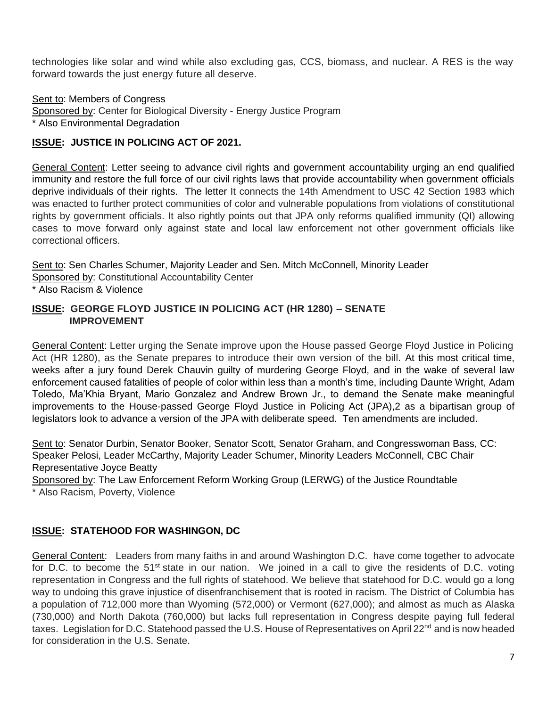technologies like solar and wind while also excluding gas, CCS, biomass, and nuclear. A RES is the way forward towards the just energy future all deserve.

Sent to: Members of Congress Sponsored by: Center for Biological Diversity - Energy Justice Program \* Also Environmental Degradation

## **ISSUE: JUSTICE IN POLICING ACT OF 2021.**

General Content: Letter seeing to advance civil rights and government accountability urging an end qualified immunity and restore the full force of our civil rights laws that provide accountability when government officials deprive individuals of their rights. The letter It connects the 14th Amendment to USC 42 Section 1983 which was enacted to further protect communities of color and vulnerable populations from violations of constitutional rights by government officials. It also rightly points out that JPA only reforms qualified immunity (QI) allowing cases to move forward only against state and local law enforcement not other government officials like correctional officers.

Sent to: Sen Charles Schumer, Majority Leader and Sen. Mitch McConnell, Minority Leader Sponsored by: Constitutional Accountability Center

\* Also Racism & Violence

#### **ISSUE: GEORGE FLOYD JUSTICE IN POLICING ACT (HR 1280) – SENATE IMPROVEMENT**

General Content: Letter urging the Senate improve upon the House passed George Floyd Justice in Policing Act (HR 1280), as the Senate prepares to introduce their own version of the bill. At this most critical time, weeks after a jury found Derek Chauvin guilty of murdering George Floyd, and in the wake of several law enforcement caused fatalities of people of color within less than a month's time, including Daunte Wright, Adam Toledo, Ma'Khia Bryant, Mario Gonzalez and Andrew Brown Jr., to demand the Senate make meaningful improvements to the House-passed George Floyd Justice in Policing Act (JPA),2 as a bipartisan group of legislators look to advance a version of the JPA with deliberate speed. Ten amendments are included.

Sent to: Senator Durbin, Senator Booker, Senator Scott, Senator Graham, and Congresswoman Bass, CC: Speaker Pelosi, Leader McCarthy, Majority Leader Schumer, Minority Leaders McConnell, CBC Chair Representative Joyce Beatty

Sponsored by: The Law Enforcement Reform Working Group (LERWG) of the Justice Roundtable \* Also Racism, Poverty, Violence

## **ISSUE: STATEHOOD FOR WASHINGON, DC**

General Content:Leaders from many faiths in and around Washington D.C. have come together to advocate for D.C. to become the 51<sup>st</sup> state in our nation. We joined in a call to give the residents of D.C. voting representation in Congress and the full rights of statehood. We believe that statehood for D.C. would go a long way to undoing this grave injustice of disenfranchisement that is rooted in racism. The District of Columbia has a population of 712,000 more than Wyoming (572,000) or Vermont (627,000); and almost as much as Alaska (730,000) and North Dakota (760,000) but lacks full representation in Congress despite paying full federal taxes. Legislation for D.C. Statehood passed the U.S. House of Representatives on April 22<sup>nd</sup> and is now headed for consideration in the U.S. Senate.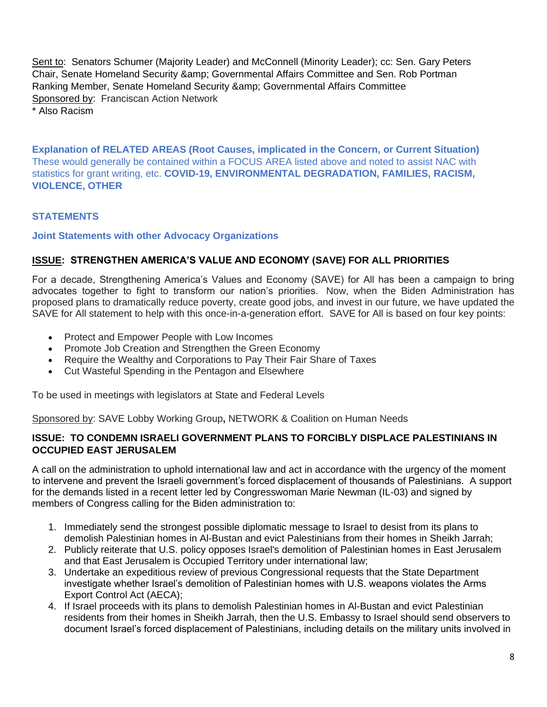Sent to: Senators Schumer (Majority Leader) and McConnell (Minority Leader); cc: Sen. Gary Peters Chair, Senate Homeland Security & amp; Governmental Affairs Committee and Sen. Rob Portman Ranking Member, Senate Homeland Security & Governmental Affairs Committee Sponsored by:Franciscan Action Network \* Also Racism

**Explanation of RELATED AREAS (Root Causes, implicated in the Concern, or Current Situation)** These would generally be contained within a FOCUS AREA listed above and noted to assist NAC with statistics for grant writing, etc. **COVID-19, ENVIRONMENTAL DEGRADATION, FAMILIES, RACISM, VIOLENCE, OTHER**

### **STATEMENTS**

#### **Joint Statements with other Advocacy Organizations**

#### **ISSUE: STRENGTHEN AMERICA'S VALUE AND ECONOMY (SAVE) FOR ALL PRIORITIES**

For a decade, Strengthening America's Values and Economy (SAVE) for All has been a campaign to bring advocates together to fight to transform our nation's priorities. Now, when the Biden Administration has proposed plans to dramatically reduce poverty, create good jobs, and invest in our future, we have updated the SAVE for All statement to help with this once-in-a-generation effort. SAVE for All is based on four key points:

- Protect and Empower People with Low Incomes
- Promote Job Creation and Strengthen the Green Economy
- Require the Wealthy and Corporations to Pay Their Fair Share of Taxes
- Cut Wasteful Spending in the Pentagon and Elsewhere

To be used in meetings with legislators at State and Federal Levels

Sponsored by: SAVE Lobby Working Group**,** NETWORK & Coalition on Human Needs

#### **ISSUE: TO CONDEMN ISRAELI GOVERNMENT PLANS TO FORCIBLY DISPLACE PALESTINIANS IN OCCUPIED EAST JERUSALEM**

A call on the administration to uphold international law and act in accordance with the urgency of the moment to intervene and prevent the Israeli government's forced displacement of thousands of Palestinians. A support for the demands listed in a recent letter led by Congresswoman Marie Newman (IL-03) and signed by members of Congress calling for the Biden administration to:

- 1. Immediately send the strongest possible diplomatic message to Israel to desist from its plans to demolish Palestinian homes in Al-Bustan and evict Palestinians from their homes in Sheikh Jarrah;
- 2. Publicly reiterate that U.S. policy opposes Israel's demolition of Palestinian homes in East Jerusalem and that East Jerusalem is Occupied Territory under international law;
- 3. Undertake an expeditious review of previous Congressional requests that the State Department investigate whether Israel's demolition of Palestinian homes with U.S. weapons violates the Arms Export Control Act (AECA);
- 4. If Israel proceeds with its plans to demolish Palestinian homes in Al-Bustan and evict Palestinian residents from their homes in Sheikh Jarrah, then the U.S. Embassy to Israel should send observers to document Israel's forced displacement of Palestinians, including details on the military units involved in